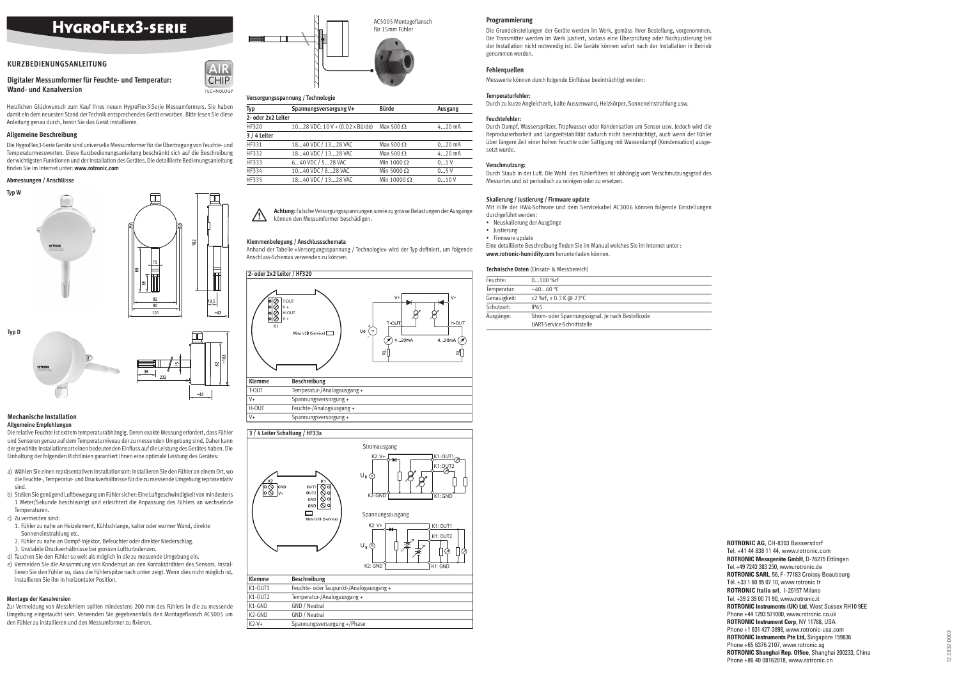Zur Vermeidung von Messfehlern sollten mindestens 200 mm des Fühlers in die zu messende Umgebung eingetaucht sein. Verwenden Sie gegebenenfalls den Montageflansch AC5005 um den Fühler zu installieren und den Messumformer zu fixieren.

**Digitaler Messumformer für Feuchte- und Temperatur: Wand- und Kanalversion**

Herzlichen Glückwunsch zum Kauf Ihres neuen HygroFlex3-Serie Messumformers. Sie haben damit ein dem neuesten Stand der Technik entsprechendes Gerät erworben. Bitte lesen Sie diese Anleitung genau durch, bevor Sie das Gerät installieren.

## **Allgemeine Beschreibung**

Die HygroFlex3-Serie Geräte sind universelle Messumformer für die Übertragung von Feuchte- und Temperaturmesswerten. Diese Kurzbedienungsanleitung beschränkt sich auf die Beschreibung der wichtigsten Funktionen und der Installation des Gerätes. Die detaillierte Bedienungsanleitung fi nden Sie im Internet unter: **www.rotronic.com**

# **Abmessungen / Anschlüsse**

# **Montage der Kanalversion**





## **Mechanische Installation Allgemeine Empfehlungen**

 $\triangle$ **Achtung:** Falsche Versorgungsspannungen sowie zu grosse Belastungen der Ausgänge können den Messumformer beschädigen.

Die relative Feuchte ist extrem temperaturabhängig. Deren exakte Messung erfordert, dass Fühler und Sensoren genau auf dem Temperaturniveau der zu messenden Umgebung sind. Daher kann der gewählte Installationsort einen bedeutenden Einfluss auf die Leistung des Gerätes haben. Die Einhaltung der folgenden Richtlinien garantiert Ihnen eine optimale Leistung des Gerätes:

Anhand der Tabelle «Versorgungsspannung / Technologie» wird der Typ definiert, um folgende Anschluss-Schemas verwenden zu können:

- a) Wählen Sie einen repräsentativen Installationsort: Installieren Sie den Fühler an einem Ort, wo die Feuchte-, Temperatur- und Druckverhältnisse für die zu messende Umgebung repräsentativ sind.
- b) Stellen Sie genügend Luftbewegung am Fühler sicher: Eine Luftgeschwindigkeit von mindestens 1 Meter/Sekunde beschleunigt und erleichtert die Anpassung des Fühlers an wechselnde Temperaturen.

c) Zu vermeiden sind:

Eine detaillierte Beschreibung finden Sie im Manual welches Sie im Internet unter : **www.rotronic-humidity.com** herunterladen können.

- 1. Fühler zu nahe an Heizelement, Kühlschlange, kalter oder warmer Wand, direkte Sonneneinstrahlung etc.
- 2. Fühler zu nahe an Dampf-Injektor, Befeuchter oder direkter Niederschlag.
- 3. Unstabile Druckverhältnisse bei grossen Luftturbulenzen.
- d) Tauchen Sie den Fühler so weit als möglich in die zu messende Umgebung ein.
- e) Vermeiden Sie die Ansammlung von Kondensat an den Kontaktdrähten des Sensors. Installieren Sie den Fühler so, dass die Fühlerspitze nach unten zeigt. Wenn dies nicht möglich ist, installieren Sie ihn in horizontaler Position.



# **Versorgungsspannung / Technologie**

**AIR CHIP TECHNOLOGY** 

| Typ                | Spannungsversorgung V+          | <b>Bürde</b>       | <b>Ausgang</b> |
|--------------------|---------------------------------|--------------------|----------------|
| 2- oder 2x2 Leiter |                                 |                    |                |
| HF320              | 1028 VDC: 10 V + (0.02 x Bürde) | Max 500 $\Omega$   | $420$ mA       |
| $3/4$ Leiter       |                                 |                    |                |
| HF331              | 1840 VDC / 1328 VAC             | Max 500 $\Omega$   | $020$ mA       |
| HF332              | 1840 VDC / 1328 VAC             | Max 500 $\Omega$   | $420$ mA       |
| HF333              | 640 VDC / 528 VAC               | Min 1000 $\Omega$  | 01V            |
| HF334              | 1040 VDC / 828 VAC              | Min 5000 $\Omega$  | 05V            |
| HF335              | 1840 VDC / 1328 VAC             | Min 10000 $\Omega$ | 010V           |

## **Klemmenbelegung / Anschlussschemata**

## **Programmierung**

Die Grundeinstellungen der Geräte werden im Werk, gemäss Ihrer Bestellung, vorgenommen. Die Transmitter werden im Werk justiert, sodass eine Überprüfung oder Nachjustierung bei der Installation nicht notwendig ist. Die Geräte können sofort nach der Installation in Betrieb genommen werden.

## **Fehlerquellen**

Messwerte können durch folgende Einflüsse beeinträchtigt werden:

## **Temperaturfehler:**

Durch zu kurze Angleichzeit, kalte Aussenwand, Heizkörper, Sonneneinstrahlung usw.

## **Feuchtefehler:**

Durch Dampf, Wasserspritzer, Tropfwasser oder Kondensation am Sensor usw. Jedoch wird die Reproduzierbarkeit und Langzeitstabilität dadurch nicht beeinträchtigt, auch wenn der Fühler über längere Zeit einer hohen Feuchte oder Sättigung mit Wasserdampf (Kondensation) ausgesetzt wurde.

## **Verschmutzung:**



Durch Staub in der Luft. Die Wahl des Fühlerfi lters ist abhängig vom Verschmutzungsgrad des Messortes und ist periodisch zu reinigen oder zu ersetzen.



# **Skalierung / Justierung / Firmware update**

Mit Hilfe der HW4-Software und dem Servicekabel AC3006 können folgende Einstellungen durchgeführt werden:

- Neuskalierung der Ausgänge
- Justierung
- Firmware update

## **Technische Daten** (Einsatz- & Messbereich)

| Feuchte:     | $0100$ %rF                                       |
|--------------|--------------------------------------------------|
| Temperatur:  | $-4060$ °C                                       |
| Genauigkeit: | $\pm$ 2 %rF, $\pm$ 0.3 K @ 23 °C                 |
| Schutzart:   | IP65                                             |
| Ausgänge:    | Strom- oder Spannungssignal. Je nach Bestellcode |
|              | UART-Service-Schnittstelle                       |

# **HYGROFLEX3-SERIE**

# **KURZBEDIENUNGSANLEITUNG**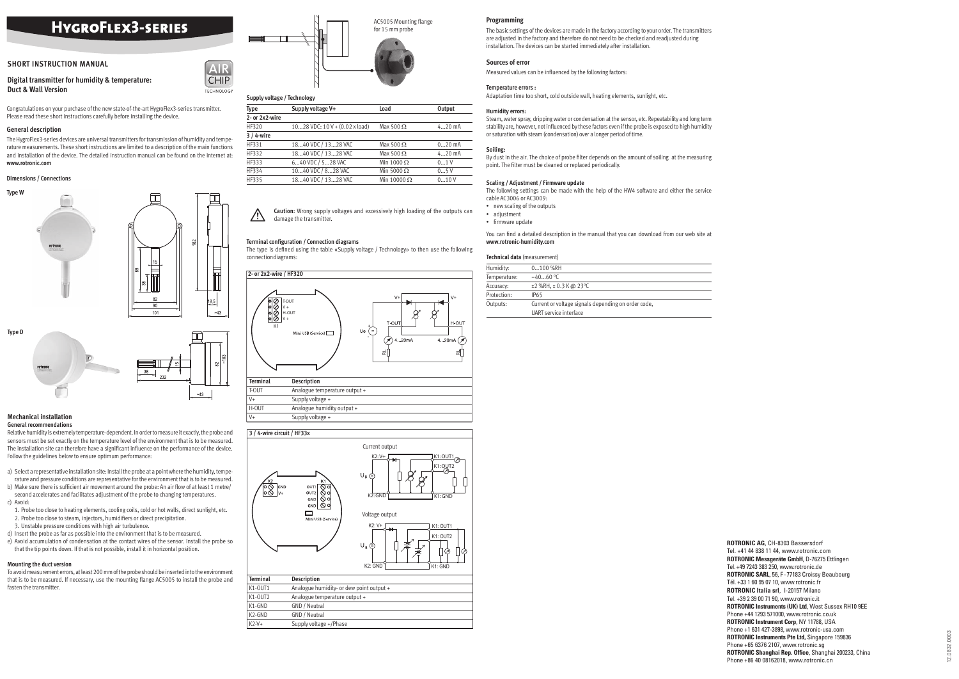**Digital transmitter for humidity & temperature: Duct & Wall Version**

Congratulations on your purchase of the new state-of-the-art HygroFlex3-series transmitter. Please read these short instructions carefully before installing the device.

# **General description**

The HygroFlex3-series devices are universal transmitters for transmission of humidity and temperature measurements. These short instructions are limited to a description of the main functions and installation of the device. The detailed instruction manual can be found on the internet at: **www.rotronic.com**

#### **Dimensions / Connections**





#### **Mechanical installation General recommendations**

Relative humidity is extremely temperature-dependent. In order to measure it exactly, the probe and sensors must be set exactly on the temperature level of the environment that is to be measured. The installation site can therefore have a significant influence on the performance of the device. Follow the guidelines below to ensure optimum performance:

 $\triangle$ **Caution:** Wrong supply voltages and excessively high loading of the outputs can damage the transmitter.

## **Terminal configuration / Connection diagrams**

The type is defined using the table «Supply voltage / Technology» to then use the following connectiondiagrams:

- a) Select a representative installation site: Install the probe at a point where the humidity, temperature and pressure conditions are representative for the environment that is to be measured.
- b) Make sure there is sufficient air movement around the probe: An air flow of at least 1 metre/ second accelerates and facilitates adjustment of the probe to changing temperatures. c) Avoid:
- 1. Probe too close to heating elements, cooling coils, cold or hot walls, direct sunlight, etc.
- 2. Probe too close to steam, injectors, humidifiers or direct precipitation.
- 3. Unstable pressure conditions with high air turbulence.
- d) Insert the probe as far as possible into the environment that is to be measured.
- e) Avoid accumulation of condensation at the contact wires of the sensor. Install the probe so that the tip points down. If that is not possible, install it in horizontal position.
- new scaling of the outputs
- adjustment
- firmware update

You can find a detailed description in the manual that you can download from our web site at **www.rotronic-humidity.com**

# **Mounting the duct version**

To avoid measurement errors, at least 200 mm of the probe should be inserted into the environment that is to be measured. If necessary, use the mounting flange AC5005 to install the probe and fasten the transmitter.



# **Supply voltage / Technology**

**AIR CHIP TECHNOLOGY** 

| Type           | Supply voltage V+                        | Load               | Output   |
|----------------|------------------------------------------|--------------------|----------|
| 2- or 2x2-wire |                                          |                    |          |
| HF320          | 1028 VDC: $10 V + (0.02 x \text{ load})$ | Max 500 $\Omega$   | $420$ mA |
| $3/4$ -wire    |                                          |                    |          |
| HF331          | 1840 VDC / 1328 VAC                      | Max 500 $\Omega$   | $020$ mA |
| HF332          | 1840 VDC / 1328 VAC                      | Max 500 $\Omega$   | $420$ mA |
| HF333          | 640 VDC / 528 VAC                        | Min 1000 $\Omega$  | 01V      |
| HF334          | 1040 VDC / 828 VAC                       | Min 5000 $\Omega$  | 05V      |
| HF335          | 1840 VDC / 1328 VAC                      | Min 10000 $\Omega$ | 010V     |

#### **Programming**

The basic settings of the devices are made in the factory according to your order. The transmitters are adjusted in the factory and therefore do not need to be checked and readjusted during installation. The devices can be started immediately after installation.

# **Sources of error**

Measured values can be influenced by the following factors:

#### **Temperature errors :**

Adaptation time too short, cold outside wall, heating elements, sunlight, etc.

#### **Humidity errors:**

Steam, water spray, dripping water or condensation at the sensor, etc. Repeatability and long term stability are, however, not influenced by these factors even if the probe is exposed to high humidity or saturation with steam (condensation) over a longer period of time.

# **Soiling:**

By dust in the air. The choice of probe filter depends on the amount of soiling at the measuring point. The filter must be cleaned or replaced periodically.



# **Scaling / Adjustment / Firmware update**

The following settings can be made with the help of the HW4 software and either the service cable AC3006 or AC3009:

#### **Technical data** (measurement)

| Humidity:    | 0100 %RH                                                                      |  |
|--------------|-------------------------------------------------------------------------------|--|
| Temperature: | $-4060$ °C                                                                    |  |
| Accuracy:    | $\pm$ 2 %RH, $\pm$ 0.3 K @ 23 °C                                              |  |
| Protection:  | IP65                                                                          |  |
| Outputs:     | Current or voltage signals depending on order code.<br>UART service interface |  |



# **HYGROFLEX3-SERIES**

# **SHORT INSTRUCTION MANUAL**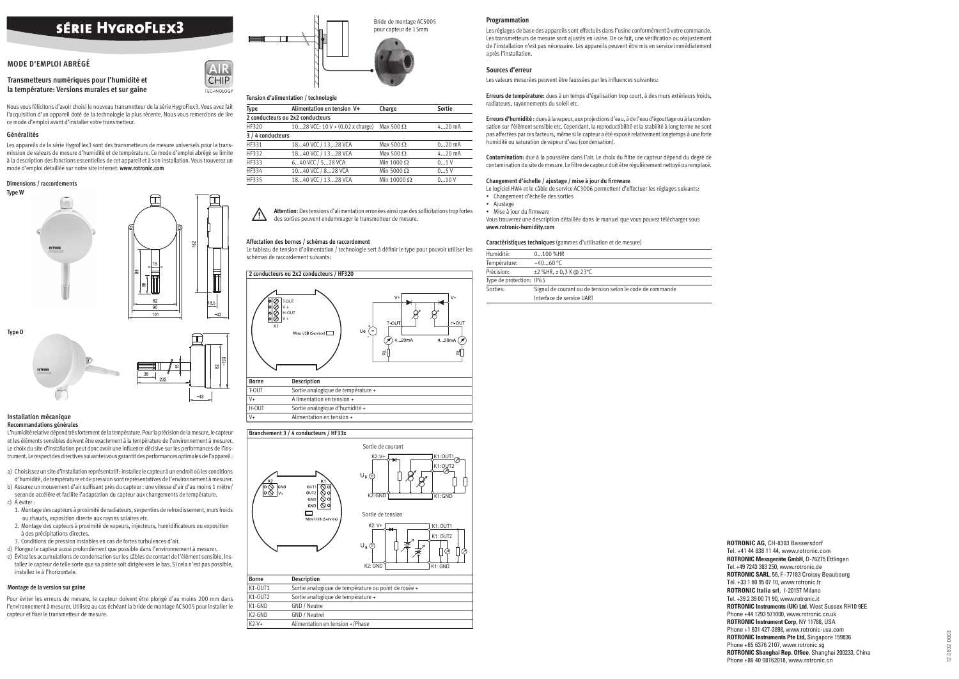Pour éviter les erreurs de mesure, le capteur doivent être plongé d'au moins 200 mm dans l'environnement à mesurer. Utilisez au cas échéant la bride de montage AC5005 pour installer le capteur et fixer le transmetteur de mesure.

# **Transmetteurs numériques pour l'humidité et la température: Versions murales et sur gaine**

# **SÉRIE HYGROFLEX3**

# **MODE D'EMPLOI ABRÉGÉ**

Nous vous félicitons d'avoir choisi le nouveau transmetteur de la série HygroFlex3. Vous avez fait l'acquisition d'un appareil doté de la technologie la plus récente. Nous vous remercions de lire ce mode d'emploi avant d'installer votre transmetteur.

## **Généralités**

Les appareils de la série HygroFlex3 sont des transmetteurs de mesure universels pour la transmission de valeurs de mesure d'humidité et de température. Ce mode d'emploi abrégé se limite à la description des fonctions essentielles de cet appareil et à son installation. Vous trouverez un mode d'emploi détaillée sur notre site Internet: **www.rotronic.com**

## **Dimensions / raccordements**





## **Installation mécanique Recommandations générales**

 $\triangle$  **Attention:** Des tensions d'alimentation erronées ainsi que des sollicitations trop fortes des sorties peuvent endommager le transmetteur de mesure.

L'humidité relative dépend très fortement de la température. Pour la précision de la mesure, le capteur et les éléments sensibles doivent être exactement à la température de l'environnement à mesurer. Le choix du site d'installation peut donc avoir une influence décisive sur les performances de l'instrument. Le respect des directives suivantes vous garantit des performances optimales de l'appareil : Le tableau de tension d'alimentation / technologie sert à définir le type pour pouvoir utiliser les schémas de raccordement suivants:

- a) Choisissez un site d'installation représentatif : installez le capteur à un endroit où les conditions d'humidité, de température et de pression sont représentatives de l'environnement à mesurer.
- b) Assurez un mouvement d'air suffisant près du capteur : une vitesse d'air d'au moins 1 mètre/ seconde accélère et facilite l'adaptation du capteur aux changements de température.
- c) À éviter : 1. Montage des capteurs à proximité de radiateurs, serpentins de refroidissement, murs froids
- ou chauds, exposition directe aux rayons solaires etc. 2. Montage des capteurs à proximité de vapeurs, injecteurs, humidificateurs ou exposition à des précipitations directes.
- 3. Conditions de pression instables en cas de fortes turbulences d'air.
- d) Plongez le capteur aussi profondément que possible dans l'environnement à mesurer.
- e) Évitez les accumulations de condensation sur les câbles de contact de l'élément sensible. Installez le capteur de telle sorte que sa pointe soit dirigée vers le bas. Si cela n'est pas possible, installez le à l'horizontale.

• Mise à jour du firmware Vous trouverez une description détaillée dans le manuel que vous pouvez télécharger sous **www.rotronic-humidity.com** 

# **Montage de la version sur gaine**



# **Tension d'alimentation / technologie**

**CHIP TECHNOLOGY** 

| Type              | Alimentation en tension V+                     | Charge             | <b>Sortie</b> |  |
|-------------------|------------------------------------------------|--------------------|---------------|--|
|                   | 2 conducteurs ou 2x2 conducteurs               |                    |               |  |
| HF320             | 1028 VCC: 10 V + $(0.02 \times \text{charge})$ | Max 500 $\Omega$   | $420$ mA      |  |
| 3 / 4 conducteurs |                                                |                    |               |  |
| HF331             | 1840 VCC / 1328 VCA                            | Max 500 $\Omega$   | $020$ mA      |  |
| HF332             | 1840 VCC / 1328 VCA                            | Max 500 $\Omega$   | $420$ mA      |  |
| HF333             | 640 VCC / 528 VCA                              | Min 1000 $\Omega$  | 01V           |  |
| HF334             | 1040 VCC / 828 VCA                             | Min 5000 $\Omega$  | 05V           |  |
| HF335             | 1840 VCC / 1328 VCA                            | Min 10000 $\Omega$ | 010V          |  |

## **Affectation des bornes / schémas de raccordement**

### **Programmation**

Les réglages de base des appareils sont effectués dans l'usine conformément à votre commande. Les transmetteurs de mesure sont ajustés en usine. De ce fait, une vérification ou réajustement de l'installation n'est pas nécessaire. Les appareils peuvent être mis en service immédiatement après l'installation.

## **Sources d'erreur**

Les valeurs mesurées peuvent être faussées par les influences suivantes:

**Erreurs de température:** dues à un temps d'égalisation trop court, à des murs extérieurs froids, radiateurs, rayonnements du soleil etc.

**Erreurs d'humidité :** dues à la vapeur, aux projections d'eau, à de l'eau d'égouttage ou à la condensation sur l'élément sensible etc. Cependant, la reproductibilité et la stabilité à long terme ne sont pas affectées par ces facteurs, même si le capteur a été exposé relativement longtemps à une forte humidité ou saturation de vapeur d'eau (condensation).

Contamination: due à la poussière dans l'air. Le choix du filtre de capteur dépend du degré de contamination du site de mesure. Le filtre de capteur doit être régulièrement nettoyé ou remplacé.

# Changement d'échelle / ajustage / mise à jour du firmware





Le logiciel HW4 et le câble de service AC3006 permettent d'effectuer les réglages suivants:

- Changement d'échelle des sorties
- Ajustage

## **Caractéristiques techniques** (gammes d'utilisation et de mesure)

| Humidité:                | 0100 %HR                                                  |
|--------------------------|-----------------------------------------------------------|
| Température:             | $-4060$ °C                                                |
| Précision:               | $\pm$ 2 %HR, $\pm$ 0,3 K @ 23 °C                          |
| Type de protection: IP65 |                                                           |
| Sorties:                 | Signal de courant ou de tension selon le code de commande |
|                          | Interface de service UART                                 |

# **Branchement 3 / 4 conducteurs / HF33x**